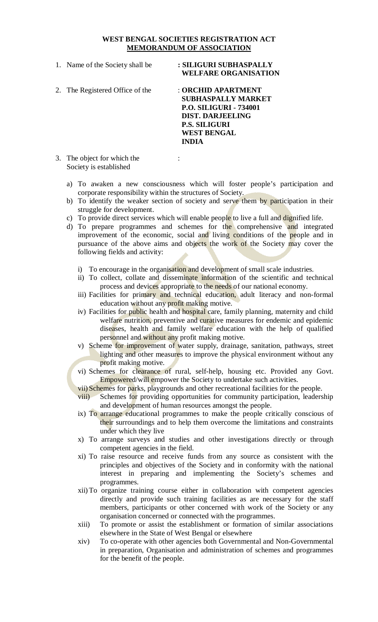#### **WEST BENGAL SOCIETIES REGISTRATION ACT MEMORANDUM OF ASSOCIATION**

- 1. Name of the Society shall be **: SILIGURI SUBHASPALLY WELFARE ORGANISATION**
- 2. The Registered Office of the : **ORCHID APARTMENT SUBHASPALLY MARKET P.O. SILIGURI - 734001 DIST. DARJEELING P.S. SILIGURI WEST BENGAL INDIA**
- 3. The object for which the : Society is established
	- a) To awaken a new consciousness which will foster people's participation and corporate responsibility within the structures of Society.
	- b) To identify the weaker section of society and serve them by participation in their struggle for development.
	- c) To provide direct services which will enable people to live a full and dignified life.
	- d) To prepare programmes and schemes for the comprehensive and integrated improvement of the economic, social and living conditions of the people and in pursuance of the above aims and objects the work of the Society may cover the following fields and activity:
		- i) To encourage in the organisation and development of small scale industries.
		- ii) To collect, collate and disseminate information of the scientific and technical process and devices appropriate to the needs of our national economy.
		- iii) Facilities for primary and technical education, adult literacy and non-formal education without any profit making motive.
		- iv) Facilities for public health and hospital care, family planning, maternity and child welfare nutrition, preventive and curative measures for endemic and epidemic diseases, health and family welfare education with the help of qualified personnel and without any profit making motive.
		- v) Scheme for improvement of water supply, drainage, sanitation, pathways, street lighting and other measures to improve the physical environment without any profit making motive.
		- vi) Schemes for clearance of rural, self-help, housing etc. Provided any Govt. Empowered/will empower the Society to undertake such activities.
		- vii) Schemes for parks, playgrounds and other recreational facilities for the people.
		- viii) Schemes for providing opportunities for community participation, leadership and development of human resources amongst the people.
		- ix) To arrange educational programmes to make the people critically conscious of their surroundings and to help them overcome the limitations and constraints under which they live
		- x) To arrange surveys and studies and other investigations directly or through competent agencies in the field.
		- xi) To raise resource and receive funds from any source as consistent with the principles and objectives of the Society and in conformity with the national interest in preparing and implementing the Society's schemes and programmes.
		- xii)To organize training course either in collaboration with competent agencies directly and provide such training facilities as are necessary for the staff members, participants or other concerned with work of the Society or any organisation concerned or connected with the programmes.
		- xiii) To promote or assist the establishment or formation of similar associations elsewhere in the State of West Bengal or elsewhere
		- xiv) To co-operate with other agencies both Governmental and Non-Governmental in preparation, Organisation and administration of schemes and programmes for the benefit of the people.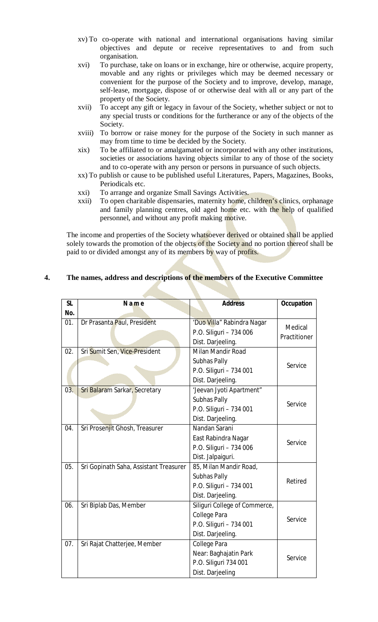- xv) To co-operate with national and international organisations having similar objectives and depute or receive representatives to and from such organisation.
- xvi) To purchase, take on loans or in exchange, hire or otherwise, acquire property, movable and any rights or privileges which may be deemed necessary or convenient for the purpose of the Society and to improve, develop, manage, self-lease, mortgage, dispose of or otherwise deal with all or any part of the property of the Society.
- xvii) To accept any gift or legacy in favour of the Society, whether subject or not to any special trusts or conditions for the furtherance or any of the objects of the Society.
- xviii) To borrow or raise money for the purpose of the Society in such manner as may from time to time be decided by the Society.
- xix) To be affiliated to or amalgamated or incorporated with any other institutions, societies or associations having objects similar to any of those of the society and to co-operate with any person or persons in pursuance of such objects.
- xx) To publish or cause to be published useful Literatures, Papers, Magazines, Books, Periodicals etc.
- xxi) To arrange and organize Small Savings Activities.
- xxii) To open charitable dispensaries, maternity home, children's clinics, orphanage and family planning centres, old aged home etc. with the help of qualified personnel, and without any profit making motive.

The income and properties of the Society whatsoever derived or obtained shall be applied solely towards the promotion of the objects of the Society and no portion thereof shall be paid to or divided amongst any of its members by way of profits.

| <b>SL</b> | Name                                   | <b>Address</b>                                                                                | <b>Occupation</b>       |
|-----------|----------------------------------------|-----------------------------------------------------------------------------------------------|-------------------------|
| No.       |                                        |                                                                                               |                         |
| 01.       | Dr Prasanta Paul, President            | 'Duo Villa" Rabindra Nagar<br>P.O. Siliguri - 734 006<br>Dist. Darjeeling.                    | Medical<br>Practitioner |
| 02.       | Sri Sumit Sen, Vice-President          | Milan Mandir Road<br>Subhas Pally<br>P.O. Siliguri - 734 001<br>Dist. Darjeeling.             | Service                 |
| 03.       | Sri Balaram Sarkar, Secretary          | 'Jeevan Jyoti Apartment"<br>Subhas Pally<br>P.O. Siliguri - 734 001<br>Dist. Darjeeling.      | Service                 |
| 04.       | Sri Prosenjit Ghosh, Treasurer         | Nandan Sarani<br>East Rabindra Nagar<br>P.O. Siliguri - 734 006<br>Dist. Jalpaiguri.          | Service                 |
| 05.       | Sri Gopinath Saha, Assistant Treasurer | 85, Milan Mandir Road,<br>Subhas Pally<br>P.O. Siliguri - 734 001<br>Dist. Darjeeling.        | Retired                 |
| 06.       | Sri Biplab Das, Member                 | Siliguri College of Commerce,<br>College Para<br>P.O. Siliguri - 734 001<br>Dist. Darjeeling. | Service                 |
| 07.       | Sri Rajat Chatterjee, Member           | College Para<br>Near: Baghajatin Park<br>P.O. Siliguri 734 001<br>Dist. Darjeeling            | Service                 |

# **4. The names, address and descriptions of the members of the Executive Committee**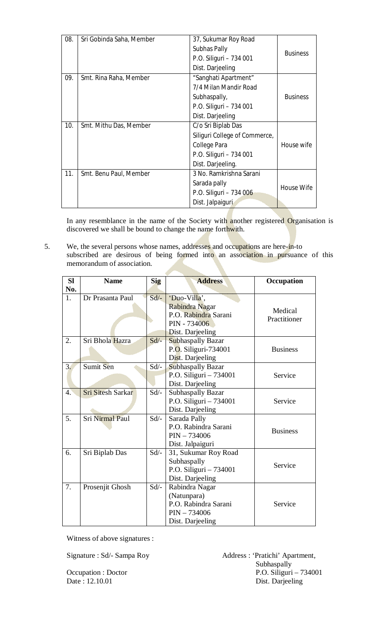| 08. | Sri Gobinda Saha, Member | 37, Sukumar Roy Road<br>Subhas Pally<br>P.O. Siliguri - 734 001<br>Dist. Darjeeling                                 | <b>Business</b> |
|-----|--------------------------|---------------------------------------------------------------------------------------------------------------------|-----------------|
| 09. | Smt. Rina Raha, Member   | "Sanghati Apartment"<br>7/4 Milan Mandir Road<br>Subhaspally,<br>P.O. Siliguri - 734 001<br>Dist. Darjeeling        | <b>Business</b> |
| 10. | Smt. Mithu Das, Member   | C/o Sri Biplab Das<br>Siliguri College of Commerce,<br>College Para<br>P.O. Siliguri - 734 001<br>Dist. Darjeeling. | House wife      |
| 11. | Smt. Benu Paul, Member   | 3 No. Ramkrishna Sarani<br>Sarada pally<br>P.O. Siliguri - 734 006<br>Dist. Jalpaiguri                              | House Wife      |

In any resemblance in the name of the Society with another registered Organisation is discovered we shall be bound to change the name forthwith.

5. We, the several persons whose names, addresses and occupations are here-in-to subscribed are desirous of being formed into an association in pursuance of this memorandum of association.

| <b>SI</b><br>No. | <b>Name</b>              | Sig     | <b>Address</b>                              | Occupation      |
|------------------|--------------------------|---------|---------------------------------------------|-----------------|
| 1.               | Dr Prasanta Paul         | $Sd$ –  | 'Duo-Villa',                                |                 |
|                  |                          |         | Rabindra Nagar                              | Medical         |
|                  |                          |         | P.O. Rabindra Sarani                        | Practitioner    |
|                  |                          |         | PIN - 734006                                |                 |
|                  |                          |         | Dist. Darjeeling                            |                 |
| 2.               | Sri Bhola Hazra          | $Sd$ -  | <b>Subhaspally Bazar</b>                    |                 |
|                  |                          |         | P.O. Siliguri-734001                        | <b>Business</b> |
| 3 <sub>1</sub>   | Sumit Sen                | $Sd$ -  | Dist. Darjeeling                            |                 |
|                  |                          |         | Subhaspally Bazar<br>P.O. Siliguri - 734001 | Service         |
|                  |                          |         | Dist. Darjeeling                            |                 |
| $\overline{4}$ . | <b>Sri Sitesh Sarkar</b> | $Sd$ -  | <b>Subhaspally Bazar</b>                    |                 |
|                  |                          |         | P.O. Siliguri - 734001                      | Service         |
|                  |                          |         | Dist. Darjeeling                            |                 |
| 5.               | <b>Sri Nirmal Paul</b>   | $Sd$ /- | Sarada Pally                                |                 |
|                  |                          |         | P.O. Rabindra Sarani                        | <b>Business</b> |
|                  |                          |         | $PIN - 734006$                              |                 |
|                  |                          |         | Dist. Jalpaiguri                            |                 |
| 6.               | Sri Biplab Das           | $Sd$ /- | 31, Sukumar Roy Road                        |                 |
|                  |                          |         | Subhaspally                                 | Service         |
|                  |                          |         | P.O. Siliguri - 734001                      |                 |
|                  |                          |         | Dist. Darjeeling                            |                 |
| 7.               | Prosenjit Ghosh          | $Sd$ -  | Rabindra Nagar                              |                 |
|                  |                          |         | (Natunpara)                                 |                 |
|                  |                          |         | P.O. Rabindra Sarani                        | Service         |
|                  |                          |         | $PIN - 734006$                              |                 |
|                  |                          |         | Dist. Darjeeling                            |                 |

Witness of above signatures :

Signature : Sd/- Sampa Roy (Address : 'Pratichi' Apartment, Subhaspally Occupation : Doctor P.O. Siliguri – 734001<br>Date : 12.10.01 Dist. Darjeeling Dist. Darjeeling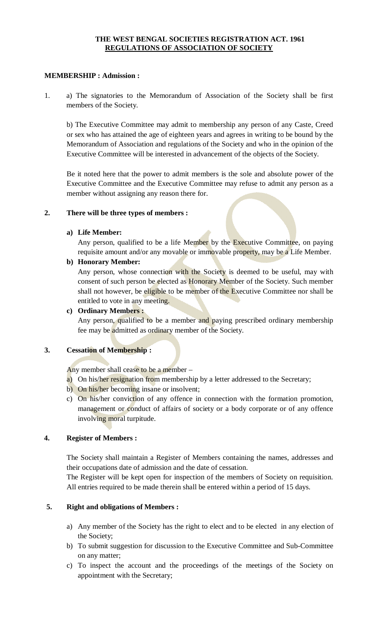#### **THE WEST BENGAL SOCIETIES REGISTRATION ACT. 1961 REGULATIONS OF ASSOCIATION OF SOCIETY**

#### **MEMBERSHIP : Admission :**

1. a) The signatories to the Memorandum of Association of the Society shall be first members of the Society.

b) The Executive Committee may admit to membership any person of any Caste, Creed or sex who has attained the age of eighteen years and agrees in writing to be bound by the Memorandum of Association and regulations of the Society and who in the opinion of the Executive Committee will be interested in advancement of the objects of the Society.

Be it noted here that the power to admit members is the sole and absolute power of the Executive Committee and the Executive Committee may refuse to admit any person as a member without assigning any reason there for.

#### **2. There will be three types of members :**

### **a) Life Member:**

Any person, qualified to be a life Member by the Executive Committee, on paying requisite amount and/or any movable or immovable property, may be a Life Member.

### **b) Honorary Member:**

Any person, whose connection with the Society is deemed to be useful, may with consent of such person be elected as **Honorary Member** of the Society. Such member shall not however, be eligible to be member of the Executive Committee nor shall be entitled to vote in any meeting.

#### **c) Ordinary Members :**

Any person, qualified to be a member and paying prescribed ordinary membership fee may be admitted as ordinary member of the Society.

# **3. Cessation of Membership :**

Any member shall cease to be a member –

- a) On his/her resignation from membership by a letter addressed to the Secretary;
- b) On his/her becoming insane or insolvent;
- c) On his/her conviction of any offence in connection with the formation promotion, management or conduct of affairs of society or a body corporate or of any offence involving moral turpitude.

#### **4. Register of Members :**

The Society shall maintain a Register of Members containing the names, addresses and their occupations date of admission and the date of cessation.

The Register will be kept open for inspection of the members of Society on requisition. All entries required to be made therein shall be entered within a period of 15 days.

# **5. Right and obligations of Members :**

- a) Any member of the Society has the right to elect and to be elected in any election of the Society;
- b) To submit suggestion for discussion to the Executive Committee and Sub-Committee on any matter;
- c) To inspect the account and the proceedings of the meetings of the Society on appointment with the Secretary;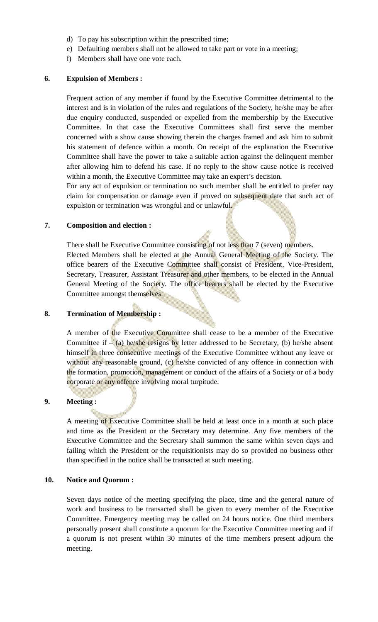- d) To pay his subscription within the prescribed time;
- e) Defaulting members shall not be allowed to take part or vote in a meeting;
- f) Members shall have one vote each.

#### **6. Expulsion of Members :**

Frequent action of any member if found by the Executive Committee detrimental to the interest and is in violation of the rules and regulations of the Society, he/she may be after due enquiry conducted, suspended or expelled from the membership by the Executive Committee. In that case the Executive Committees shall first serve the member concerned with a show cause showing therein the charges framed and ask him to submit his statement of defence within a month. On receipt of the explanation the Executive Committee shall have the power to take a suitable action against the delinquent member after allowing him to defend his case. If no reply to the show cause notice is received within a month, the Executive Committee may take an expert's decision.

For any act of expulsion or termination no such member shall be entitled to prefer nay claim for compensation or damage even if proved on subsequent date that such act of expulsion or termination was wrongful and or unlawful.

### **7. Composition and election :**

There shall be Executive Committee consisting of not less than 7 (seven) members. Elected Members shall be elected at the Annual General Meeting of the Society. The office bearers of the Executive Committee shall consist of President, Vice-President, Secretary, Treasurer, Assistant Treasurer and other members, to be elected in the Annual General Meeting of the Society. The office bearers shall be elected by the Executive Committee amongst themselves.

#### **8. Termination of Membership :**

A member of the Executive Committee shall cease to be a member of the Executive Committee if  $-$  (a) he/she resigns by letter addressed to be Secretary, (b) he/she absent himself in three consecutive meetings of the Executive Committee without any leave or without any reasonable ground, (c) he/she convicted of any offence in connection with the formation, promotion, management or conduct of the affairs of a Society or of a body corporate or any offence involving moral turpitude.

#### **9. Meeting :**

A meeting of Executive Committee shall be held at least once in a month at such place and time as the President or the Secretary may determine. Any five members of the Executive Committee and the Secretary shall summon the same within seven days and failing which the President or the requisitionists may do so provided no business other than specified in the notice shall be transacted at such meeting.

#### **10. Notice and Quorum :**

Seven days notice of the meeting specifying the place, time and the general nature of work and business to be transacted shall be given to every member of the Executive Committee. Emergency meeting may be called on 24 hours notice. One third members personally present shall constitute a quorum for the Executive Committee meeting and if a quorum is not present within 30 minutes of the time members present adjourn the meeting.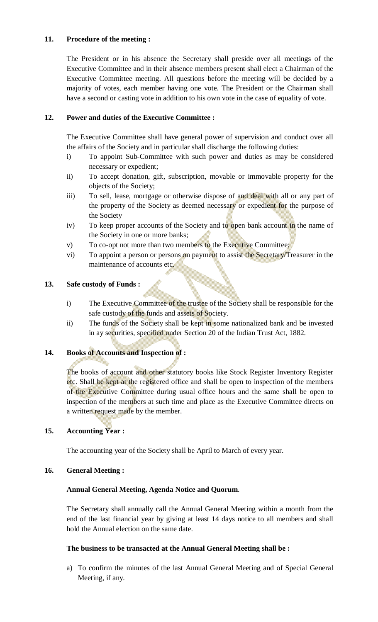# **11. Procedure of the meeting :**

The President or in his absence the Secretary shall preside over all meetings of the Executive Committee and in their absence members present shall elect a Chairman of the Executive Committee meeting. All questions before the meeting will be decided by a majority of votes, each member having one vote. The President or the Chairman shall have a second or casting vote in addition to his own vote in the case of equality of vote.

### **12. Power and duties of the Executive Committee :**

The Executive Committee shall have general power of supervision and conduct over all the affairs of the Society and in particular shall discharge the following duties:

- i) To appoint Sub-Committee with such power and duties as may be considered necessary or expedient;
- ii) To accept donation, gift, subscription, movable or immovable property for the objects of the Society;
- iii) To sell, lease, mortgage or otherwise dispose of and deal with all or any part of the property of the Society as deemed necessary or expedient for the purpose of the Society
- iv) To keep proper accounts of the Society and to open bank account in the name of the Society in one or more banks;
- v) To co-opt not more than two members to the Executive Committee;
- vi) To appoint a person or persons on payment to assist the Secretary/Treasurer in the maintenance of accounts etc.

### **13. Safe custody of Funds :**

- i) The Executive Committee of the trustee of the Society shall be responsible for the safe custody of the funds and assets of Society.
- ii) The funds of the Society shall be kept in some nationalized bank and be invested in ay securities, specified under Section 20 of the Indian Trust Act, 1882.

# **14. Books of Accounts and Inspection of :**

The books of account and other statutory books like Stock Register Inventory Register etc. Shall be kept at the registered office and shall be open to inspection of the members of the Executive Committee during usual office hours and the same shall be open to inspection of the members at such time and place as the Executive Committee directs on a written request made by the member.

# **15. Accounting Year :**

The accounting year of the Society shall be April to March of every year.

#### **16. General Meeting :**

#### **Annual General Meeting, Agenda Notice and Quorum**.

The Secretary shall annually call the Annual General Meeting within a month from the end of the last financial year by giving at least 14 days notice to all members and shall hold the Annual election on the same date.

#### **The business to be transacted at the Annual General Meeting shall be :**

a) To confirm the minutes of the last Annual General Meeting and of Special General Meeting, if any.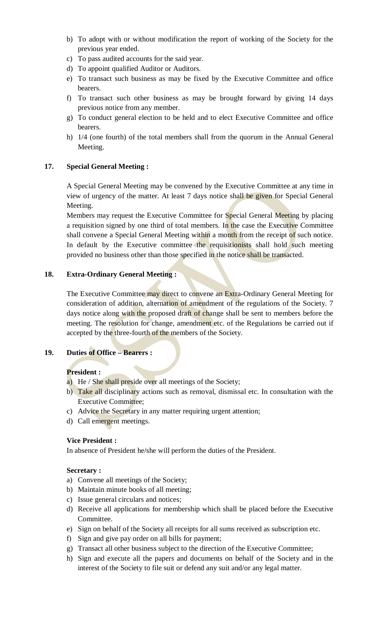- b) To adopt with or without modification the report of working of the Society for the previous year ended.
- c) To pass audited accounts for the said year.
- d) To appoint qualified Auditor or Auditors.
- e) To transact such business as may be fixed by the Executive Committee and office bearers.
- f) To transact such other business as may be brought forward by giving 14 days previous notice from any member.
- g) To conduct general election to be held and to elect Executive Committee and office bearers.
- h) 1/4 (one fourth) of the total members shall from the quorum in the Annual General Meeting.

# **17. Special General Meeting :**

A Special General Meeting may be convened by the Executive Committee at any time in view of urgency of the matter. At least 7 days notice shall be given for Special General Meeting.

Members may request the Executive Committee for Special General Meeting by placing a requisition signed by one third of total members. In the case the Executive Committee shall convene a Special General Meeting within a month from the receipt of such notice. In default by the Executive committee the requisitionists shall hold such meeting provided no business other than those specified in the notice shall be transacted.

# **18. Extra-Ordinary General Meeting :**

The Executive Committee may direct to convene an Extra-Ordinary General Meeting for consideration of addition, alternation of amendment of the regulations of the Society. 7 days notice along with the proposed draft of change shall be sent to members before the meeting. The resolution for change, amendment etc. of the Regulations be carried out if accepted by the three-fourth of the members of the Society.

# **19. Duties of Office – Bearers :**

# **President :**

- a) He / She shall preside over all meetings of the Society;
- b) Take all disciplinary actions such as removal, dismissal etc. In consultation with the Executive Committee;
- c) Advice the Secretary in any matter requiring urgent attention;
- d) Call emergent meetings.

# **Vice President :**

In absence of President he/she will perform the duties of the President.

# **Secretary :**

- a) Convene all meetings of the Society;
- b) Maintain minute books of all meeting;
- c) Issue general circulars and notices;
- d) Receive all applications for membership which shall be placed before the Executive Committee.
- e) Sign on behalf of the Society all receipts for all sums received as subscription etc.
- f) Sign and give pay order on all bills for payment;
- g) Transact all other business subject to the direction of the Executive Committee;
- h) Sign and execute all the papers and documents on behalf of the Society and in the interest of the Society to file suit or defend any suit and/or any legal matter.